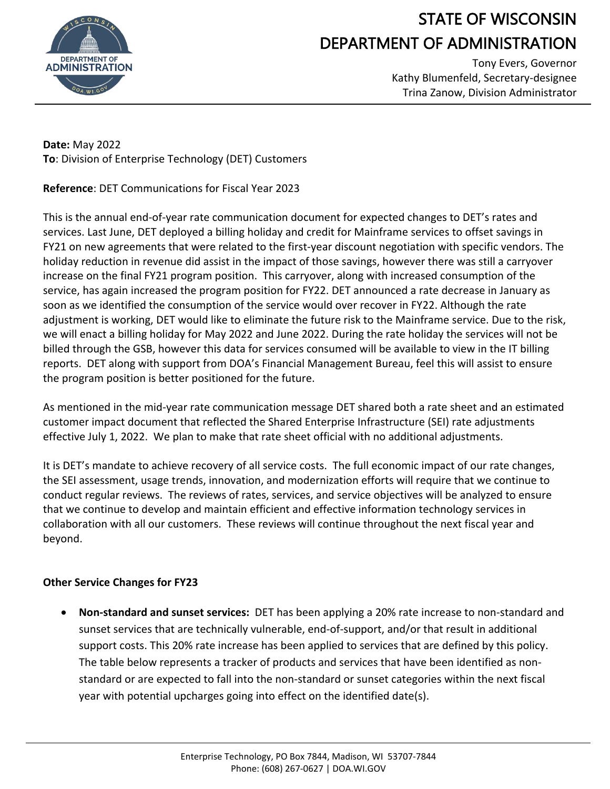

## STATE OF WISCONSIN DEPARTMENT OF ADMINISTRATION

Tony Evers, Governor Kathy Blumenfeld, Secretary-designee Trina Zanow, Division Administrator

**Date:** May 2022 **To**: Division of Enterprise Technology (DET) Customers

**Reference**: DET Communications for Fiscal Year 2023

This is the annual end-of-year rate communication document for expected changes to DET's rates and services. Last June, DET deployed a billing holiday and credit for Mainframe services to offset savings in FY21 on new agreements that were related to the first-year discount negotiation with specific vendors. The holiday reduction in revenue did assist in the impact of those savings, however there was still a carryover increase on the final FY21 program position. This carryover, along with increased consumption of the service, has again increased the program position for FY22. DET announced a rate decrease in January as soon as we identified the consumption of the service would over recover in FY22. Although the rate adjustment is working, DET would like to eliminate the future risk to the Mainframe service. Due to the risk, we will enact a billing holiday for May 2022 and June 2022. During the rate holiday the services will not be billed through the GSB, however this data for services consumed will be available to view in the IT billing reports. DET along with support from DOA's Financial Management Bureau, feel this will assist to ensure the program position is better positioned for the future.

As mentioned in the mid-year rate communication message DET shared both a rate sheet and an estimated customer impact document that reflected the Shared Enterprise Infrastructure (SEI) rate adjustments effective July 1, 2022. We plan to make that rate sheet official with no additional adjustments.

It is DET's mandate to achieve recovery of all service costs. The full economic impact of our rate changes, the SEI assessment, usage trends, innovation, and modernization efforts will require that we continue to conduct regular reviews. The reviews of rates, services, and service objectives will be analyzed to ensure that we continue to develop and maintain efficient and effective information technology services in collaboration with all our customers. These reviews will continue throughout the next fiscal year and beyond.

## **Other Service Changes for FY23**

• **Non-standard and sunset services:** DET has been applying a 20% rate increase to non-standard and sunset services that are technically vulnerable, end-of-support, and/or that result in additional support costs. This 20% rate increase has been applied to services that are defined by this policy. The table below represents a tracker of products and services that have been identified as nonstandard or are expected to fall into the non-standard or sunset categories within the next fiscal year with potential upcharges going into effect on the identified date(s).